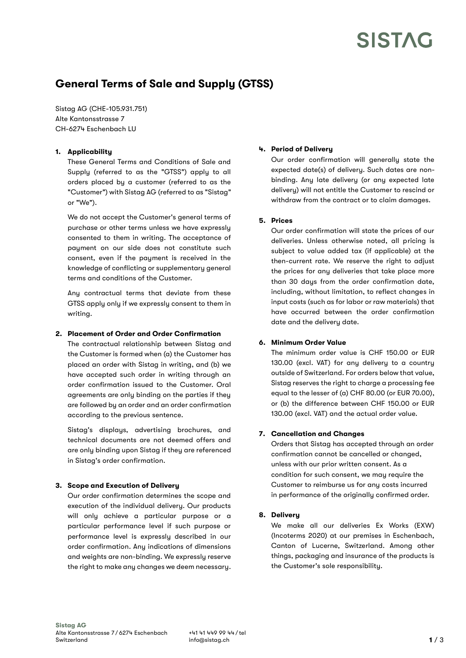# **SISTAG**

# General Terms of Sale and Supply (GTSS)

Sistag AG (CHE-105.931.751) Alte Kantonsstrasse 7 CH-6274 Eschenbach LU

## 1. Applicability

These General Terms and Conditions of Sale and Supply (referred to as the "GTSS") apply to all orders placed by a customer (referred to as the "Customer") with Sistag AG (referred to as "Sistag" or "We").

We do not accept the Customer's general terms of purchase or other terms unless we have expressly consented to them in writing. The acceptance of payment on our side does not constitute such consent, even if the payment is received in the knowledge of conflicting or supplementary general terms and conditions of the Customer.

Any contractual terms that deviate from these GTSS apply only if we expressly consent to them in writing.

#### 2. Placement of Order and Order Confirmation

The contractual relationship between Sistag and the Customer is formed when (a) the Customer has placed an order with Sistag in writing, and (b) we have accepted such order in writing through an order confirmation issued to the Customer. Oral agreements are only binding on the parties if they are followed by an order and an order confirmation according to the previous sentence.

Sistag's displays, advertising brochures, and technical documents are not deemed offers and are only binding upon Sistag if they are referenced in Sistag's order confirmation.

#### 3. Scope and Execution of Delivery

Our order confirmation determines the scope and execution of the individual delivery. Our products will only achieve a particular purpose or a particular performance level if such purpose or performance level is expressly described in our order confirmation. Any indications of dimensions and weights are non-binding. We expressly reserve the right to make any changes we deem necessary.

# 4. Period of Delivery

Our order confirmation will generally state the expected date(s) of delivery. Such dates are nonbinding. Any late delivery (or any expected late delivery) will not entitle the Customer to rescind or withdraw from the contract or to claim damages.

## 5. Prices

Our order confirmation will state the prices of our deliveries. Unless otherwise noted, all pricing is subject to value added tax (if applicable) at the then-current rate. We reserve the right to adjust the prices for any deliveries that take place more than 30 days from the order confirmation date, including, without limitation, to reflect changes in input costs (such as for labor or raw materials) that have occurred between the order confirmation date and the delivery date.

#### 6. Minimum Order Value

The minimum order value is CHF 150.00 or EUR 130.00 (excl. VAT) for any delivery to a country outside of Switzerland. For orders below that value, Sistag reserves the right to charge a processing fee equal to the lesser of (a) CHF 80.00 (or EUR 70.00), or (b) the difference between CHF 150.00 or EUR 130.00 (excl. VAT) and the actual order value.

#### 7. Cancellation and Changes

Orders that Sistag has accepted through an order confirmation cannot be cancelled or changed, unless with our prior written consent. As a condition for such consent, we may require the Customer to reimburse us for any costs incurred in performance of the originally confirmed order.

#### 8. Delivery

We make all our deliveries Ex Works (EXW) (Incoterms 2020) at our premises in Eschenbach, Canton of Lucerne, Switzerland. Among other things, packaging and insurance of the products is the Customer's sole responsibility.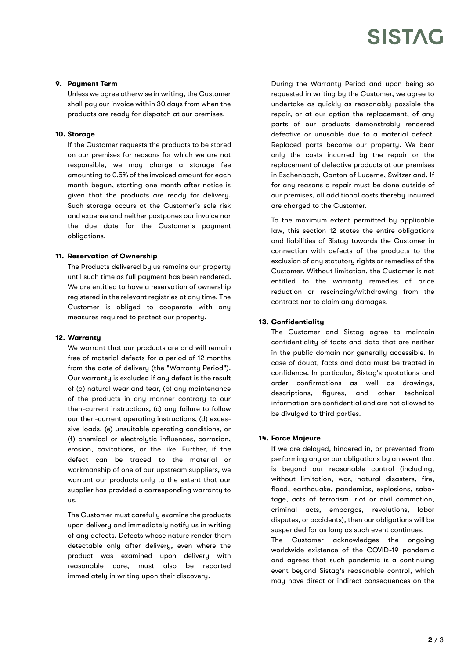# **SISTAG**

#### 9. Paument Term

Unless we agree otherwise in writing, the Customer shall pay our invoice within 30 days from when the products are ready for dispatch at our premises.

#### 10. Storage

If the Customer requests the products to be stored on our premises for reasons for which we are not responsible, we may charge a storage fee amounting to 0.5% of the invoiced amount for each month begun, starting one month after notice is given that the products are ready for delivery. Such storage occurs at the Customer's sole risk and expense and neither postpones our invoice nor the due date for the Customer's payment obligations.

#### 11. Reservation of Ownership

The Products delivered by us remains our property until such time as full payment has been rendered. We are entitled to have a reservation of ownership registered in the relevant registries at any time. The Customer is obliged to cooperate with any measures required to protect our property.

#### 12. Warranty

We warrant that our products are and will remain free of material defects for a period of 12 months from the date of delivery (the "Warranty Period"). Our warranty is excluded if any defect is the result of (a) natural wear and tear, (b) any maintenance of the products in any manner contrary to our then-current instructions, (c) any failure to follow our then-current operating instructions, (d) excessive loads, (e) unsuitable operating conditions, or (f) chemical or electrolytic influences, corrosion, erosion, cavitations, or the like. Further, if the defect can be traced to the material or workmanship of one of our upstream suppliers, we warrant our products only to the extent that our supplier has provided a corresponding warranty to us.

The Customer must carefully examine the products upon delivery and immediately notify us in writing of any defects. Defects whose nature render them detectable only after delivery, even where the product was examined upon delivery with reasonable care, must also be reported immediately in writing upon their discovery.

During the Warranty Period and upon being so requested in writing by the Customer, we agree to undertake as quickly as reasonably possible the repair, or at our option the replacement, of any parts of our products demonstrably rendered defective or unusable due to a material defect. Replaced parts become our property. We bear only the costs incurred by the repair or the replacement of defective products at our premises in Eschenbach, Canton of Lucerne, Switzerland. If for any reasons a repair must be done outside of our premises, all additional costs thereby incurred are charged to the Customer.

To the maximum extent permitted by applicable law, this section 12 states the entire obligations and liabilities of Sistag towards the Customer in connection with defects of the products to the exclusion of any statutory rights or remedies of the Customer. Without limitation, the Customer is not entitled to the warranty remedies of price reduction or rescinding/withdrawing from the contract nor to claim any damages.

#### 13. Confidentiality

The Customer and Sistag agree to maintain confidentiality of facts and data that are neither in the public domain nor generally accessible. In case of doubt, facts and data must be treated in confidence. In particular, Sistag's quotations and order confirmations as well as drawings, descriptions, figures, and other technical information are confidential and are not allowed to be divulged to third parties.

#### 14. Force Majeure

If we are delayed, hindered in, or prevented from performing any or our obligations by an event that is beyond our reasonable control (including, without limitation, war, natural disasters, fire, flood, earthquake, pandemics, explosions, sabotage, acts of terrorism, riot or civil commotion, criminal acts, embargos, revolutions, labor disputes, or accidents), then our obligations will be suspended for as long as such event continues.

The Customer acknowledges the ongoing worldwide existence of the COVID-19 pandemic and agrees that such pandemic is a continuing event beyond Sistag's reasonable control, which may have direct or indirect consequences on the